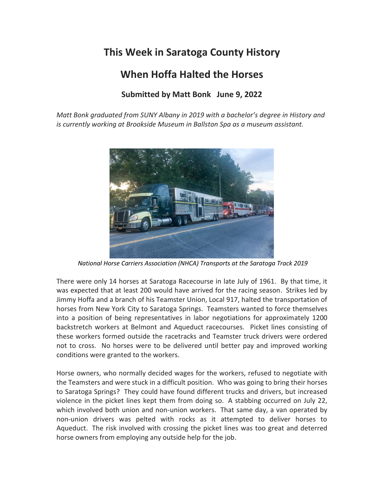## **This Week in Saratoga County History**

## **When Hoffa Halted the Horses**

## **Submitted by Matt Bonk June 9, 2022**

*Matt Bonk graduated from SUNY Albany in 2019 with a bachelor's degree in History and is currently working at Brookside Museum in Ballston Spa as a museum assistant.*



*[National Horse Carriers Association](http://nationalhorsecarriers.com/) (NHCA) Transports at the Saratoga Track 2019*

There were only 14 horses at Saratoga Racecourse in late July of 1961. By that time, it was expected that at least 200 would have arrived for the racing season. Strikes led by Jimmy Hoffa and a branch of his Teamster Union, Local 917, halted the transportation of horses from New York City to Saratoga Springs. Teamsters wanted to force themselves into a position of being representatives in labor negotiations for approximately 1200 backstretch workers at Belmont and Aqueduct racecourses. Picket lines consisting of these workers formed outside the racetracks and Teamster truck drivers were ordered not to cross. No horses were to be delivered until better pay and improved working conditions were granted to the workers.

Horse owners, who normally decided wages for the workers, refused to negotiate with the Teamsters and were stuck in a difficult position. Who was going to bring their horses to Saratoga Springs? They could have found different trucks and drivers, but increased violence in the picket lines kept them from doing so. A stabbing occurred on July 22, which involved both union and non-union workers. That same day, a van operated by non-union drivers was pelted with rocks as it attempted to deliver horses to Aqueduct. The risk involved with crossing the picket lines was too great and deterred horse owners from employing any outside help for the job.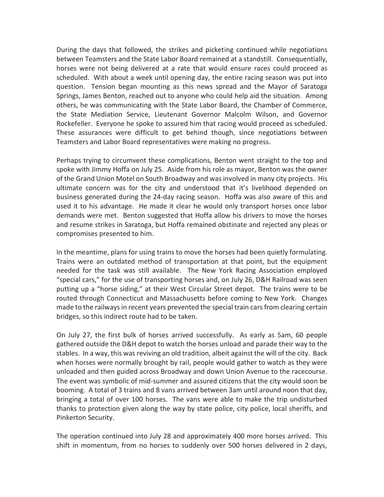During the days that followed, the strikes and picketing continued while negotiations between Teamsters and the State Labor Board remained at a standstill. Consequentially, horses were not being delivered at a rate that would ensure races could proceed as scheduled. With about a week until opening day, the entire racing season was put into question. Tension began mounting as this news spread and the Mayor of Saratoga Springs, James Benton, reached out to anyone who could help aid the situation. Among others, he was communicating with the State Labor Board, the Chamber of Commerce, the State Mediation Service, Lieutenant Governor Malcolm Wilson, and Governor Rockefeller. Everyone he spoke to assured him that racing would proceed as scheduled. These assurances were difficult to get behind though, since negotiations between Teamsters and Labor Board representatives were making no progress.

Perhaps trying to circumvent these complications, Benton went straight to the top and spoke with Jimmy Hoffa on July 25. Aside from his role as mayor, Benton was the owner of the Grand Union Motel on South Broadway and was involved in many city projects. His ultimate concern was for the city and understood that it's livelihood depended on business generated during the 24-day racing season. Hoffa was also aware of this and used it to his advantage. He made it clear he would only transport horses once labor demands were met. Benton suggested that Hoffa allow his drivers to move the horses and resume strikes in Saratoga, but Hoffa remained obstinate and rejected any pleas or compromises presented to him.

In the meantime, plans for using trains to move the horses had been quietly formulating. Trains were an outdated method of transportation at that point, but the equipment needed for the task was still available. The New York Racing Association employed "special cars," for the use of transporting horses and, on July 26, D&H Railroad was seen putting up a "horse siding," at their West Circular Street depot. The trains were to be routed through Connecticut and Massachusetts before coming to New York. Changes made to the railways in recent years prevented the special train cars from clearing certain bridges, so this indirect route had to be taken.

On July 27, the first bulk of horses arrived successfully. As early as 5am, 60 people gathered outside the D&H depot to watch the horses unload and parade their way to the stables. In a way, this was reviving an old tradition, albeit against the will of the city. Back when horses were normally brought by rail, people would gather to watch as they were unloaded and then guided across Broadway and down Union Avenue to the racecourse. The event was symbolic of mid-summer and assured citizens that the city would soon be booming. A total of 3 trains and 8 vans arrived between 3am until around noon that day, bringing a total of over 100 horses. The vans were able to make the trip undisturbed thanks to protection given along the way by state police, city police, local sheriffs, and Pinkerton Security.

The operation continued into July 28 and approximately 400 more horses arrived. This shift in momentum, from no horses to suddenly over 500 horses delivered in 2 days,